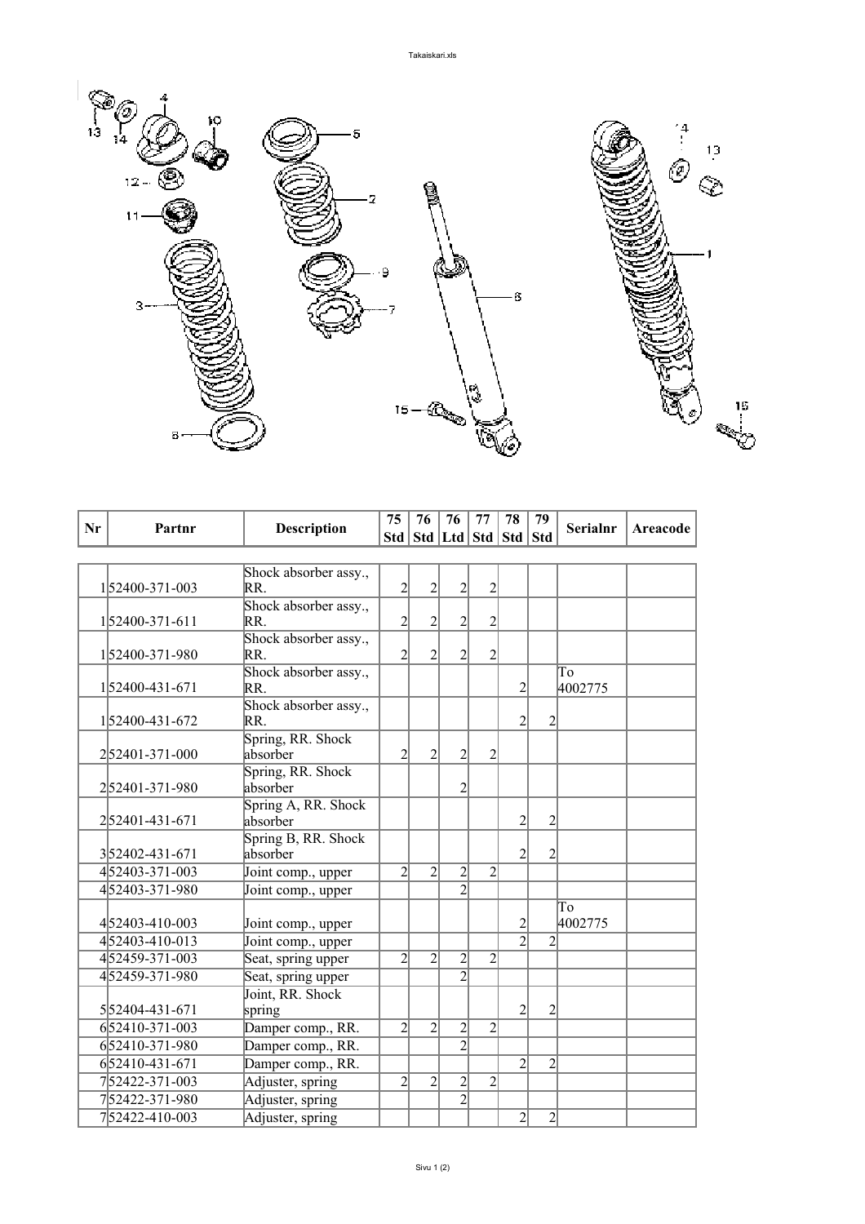

| Nr | Partnr          | <b>Description</b>              | 75             | 76             | 76                                | 77             | 78             | 79             | <b>Serialnr</b> | <b>Areacode</b> |
|----|-----------------|---------------------------------|----------------|----------------|-----------------------------------|----------------|----------------|----------------|-----------------|-----------------|
|    |                 |                                 |                |                | Std   Std   Ltd   Std   Std   Std |                |                |                |                 |                 |
|    |                 |                                 |                |                |                                   |                |                |                |                 |                 |
|    |                 | Shock absorber assy.,           |                |                |                                   |                |                |                |                 |                 |
|    | 152400-371-003  | RR.                             | $\overline{2}$ | $\overline{2}$ | $\overline{2}$                    | $\overline{2}$ |                |                |                 |                 |
|    |                 | Shock absorber assy.,           |                |                |                                   |                |                |                |                 |                 |
|    | 1 52400-371-611 | RR.                             | $\overline{c}$ | $\overline{c}$ | $\overline{c}$                    | $\overline{2}$ |                |                |                 |                 |
|    | 152400-371-980  | Shock absorber assy.,<br>RR.    | $\overline{2}$ | 2              | $\overline{c}$                    | $\overline{2}$ |                |                |                 |                 |
|    |                 | Shock absorber assy.,           |                |                |                                   |                |                |                | To              |                 |
|    | 152400-431-671  | RR.                             |                |                |                                   |                | 2              |                | 4002775         |                 |
|    |                 | Shock absorber assy.,           |                |                |                                   |                |                |                |                 |                 |
|    | 152400-431-672  | RR.                             |                |                |                                   |                | 2              | $\overline{c}$ |                 |                 |
|    |                 | Spring, RR. Shock               |                |                |                                   |                |                |                |                 |                 |
|    | 252401-371-000  | absorber                        | $\overline{2}$ | $\overline{2}$ | $\overline{2}$                    | $\overline{2}$ |                |                |                 |                 |
|    |                 | Spring, RR. Shock               |                |                |                                   |                |                |                |                 |                 |
|    | 252401-371-980  | absorber                        |                |                | $\overline{2}$                    |                |                |                |                 |                 |
|    |                 | Spring A, RR. Shock             |                |                |                                   |                |                |                |                 |                 |
|    | 252401-431-671  | absorber                        |                |                |                                   |                | $\overline{c}$ | $\overline{c}$ |                 |                 |
|    | 352402-431-671  | Spring B, RR. Shock<br>absorber |                |                |                                   |                | $\overline{2}$ | 2              |                 |                 |
|    | 452403-371-003  |                                 | $\overline{2}$ | $\overline{2}$ |                                   | $\overline{2}$ |                |                |                 |                 |
|    | 452403-371-980  | Joint comp., upper              |                |                | $\overline{c}$<br>$\overline{2}$  |                |                |                |                 |                 |
|    |                 | Joint comp., upper              |                |                |                                   |                |                |                |                 |                 |
|    | 452403-410-003  | Joint comp., upper              |                |                |                                   |                | $\overline{c}$ |                | To<br>4002775   |                 |
|    | 452403-410-013  | Joint comp., upper              |                |                |                                   |                | $\overline{2}$ | $\overline{2}$ |                 |                 |
|    | 452459-371-003  | Seat, spring upper              | $\overline{2}$ | $\overline{c}$ | 2                                 | $\overline{2}$ |                |                |                 |                 |
|    | 452459-371-980  | Seat, spring upper              |                |                | $\overline{2}$                    |                |                |                |                 |                 |
|    |                 | Joint, RR. Shock                |                |                |                                   |                |                |                |                 |                 |
|    | 552404-431-671  | spring                          |                |                |                                   |                | $\overline{2}$ | $\overline{2}$ |                 |                 |
|    | 652410-371-003  | Damper comp., RR.               | $\overline{2}$ | $\overline{2}$ | $\overline{c}$                    | $\overline{2}$ |                |                |                 |                 |
|    | 652410-371-980  | Damper comp., RR.               |                |                | $\overline{2}$                    |                |                |                |                 |                 |
|    | 652410-431-671  | Damper comp., RR.               |                |                |                                   |                | $\overline{2}$ | $\overline{2}$ |                 |                 |
|    | 752422-371-003  | Adjuster, spring                | $\overline{2}$ | $\overline{2}$ | $\overline{c}$                    | $\overline{2}$ |                |                |                 |                 |
|    | 752422-371-980  | Adjuster, spring                |                |                | $\overline{2}$                    |                |                |                |                 |                 |
|    | 752422-410-003  | Adjuster, spring                |                |                |                                   |                | $\overline{2}$ | $\overline{c}$ |                 |                 |